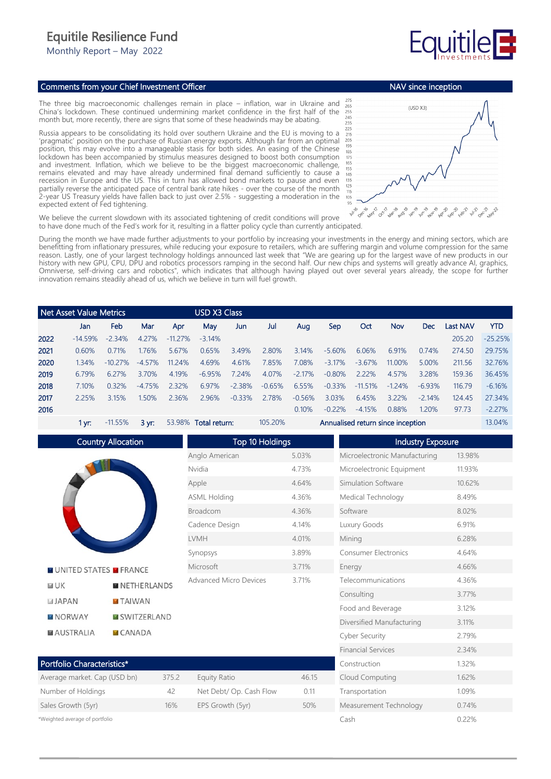## Equitile Resilience Fund

Monthly Report – May 2022

## Comments from your Chief Investment Officer

The three big macroeconomic challenges remain in place – inflation, war in Ukraine and China's lockdown. These continued undermining market confidence in the first half of the month but, more recently, there are signs that some of these headwinds may be abating.

Russia appears to be consolidating its hold over southern Ukraine and the EU is moving to a 'pragmatic' position on the purchase of Russian energy exports. Although far from an optimal position, this may evolve into a manageable stasis for both sides. An easing of the Chinese lockdown has been accompanied by stimulus measures designed to boost both consumption and investment. Inflation, which we believe to be the biggest macroeconomic challenge, remains elevated and may have already undermined final demand sufficiently to cause a recession in Europe and the US. This in turn has allowed bond markets to pause and even partially reverse the anticipated pace of central bank rate hikes - over the course of the month 2-year US Treasury yields have fallen back to just over 2.5% - suggesting a moderation in the expected extent of Fed tightening.



NAV since inception

We believe the current slowdown with its associated tightening of credit conditions will prove to have done much of the Fed's work for it, resulting in a flatter policy cycle than currently anticipated.

During the month we have made further adjustments to your portfolio by increasing your investments in the energy and mining sectors, which are benefitting from inflationary pressures, while reducing your exposure to retailers, which are suffering margin and volume compression for the same reason. Lastly, one of your largest technology holdings announced last week that "We are gearing up for the largest wave of new products in our history with new GPU, CPU, DPU and robotics processors ramping in the second half. Our new chips and systems will greatly advance AI, graphics, Omniverse, self-driving cars and robotics", which indicates that although having played out over several years already, the scope for further innovation remains steadily ahead of us, which we believe in turn will fuel growth.

| Net Asset Value Metrics |           |            | <b>USD X3 Class</b> |           |          |          |          |           |           |           |         |            |          |            |
|-------------------------|-----------|------------|---------------------|-----------|----------|----------|----------|-----------|-----------|-----------|---------|------------|----------|------------|
|                         | Jan       | Feb        | Mar                 | Apr       | May      | Jun      | Jul      | Aug       | Sep       | Oct       | Nov     | <b>Dec</b> | Last NAV | <b>YTD</b> |
| 2022                    | $-14.59%$ | $-2.34%$   | 4.27%               | $-1127\%$ | $-3.14%$ |          |          |           |           |           |         |            | 205.20   | $-25.25%$  |
| 2021                    | 0.60%     | 0.71%      | 1.76%               | 5.67%     | 0.65%    | 3.49%    | 2.80%    | 3.14%     | $-5.60\%$ | 6.06%     | 6.91%   | 0.74%      | 274.50   | 29.75%     |
| 2020                    | 1.34%     | $-10.27\%$ | $-4.57\%$           | 11 2 4%   | 4.69%    | 4.61%    | 7.85%    | 7.08%     | $-3.17\%$ | $-3.67\%$ | 11.00%  | 5.00%      | 211.56   | 32.76%     |
| 2019                    | 6.79%     | 6.27%      | 3.70%               | 4.19%     | $-6.95%$ | 7.24%    | 4.07%    | $-2.17\%$ | $-0.80%$  | 2.22%     | 4.57%   | 3.28%      | 159.36   | 36.45%     |
| 2018                    | 7.10%     | 0.32%      | $-4.75%$            | 2.32%     | 6.97%    | $-2.38%$ | $-0.65%$ | 6.55%     | $-0.33%$  | $-11.51%$ | $-124%$ | $-6.93%$   | 116.79   | $-6.16%$   |
| 2017                    | 225%      | 3.15%      | 1.50%               | 2.36%     | 2.96%    | $-0.33%$ | 2.78%    | $-0.56%$  | 3.03%     | 6.45%     | 322%    | $-2.14%$   | 124.45   | 27.34%     |
| 2016                    |           |            |                     |           |          |          |          | 0.10%     | $-0.22%$  | $-4.15%$  | 0.88%   | 1.20%      | 97.73    | $-2.27%$   |

1 yr: -11.55% 3 yr: 53.98% Total return: 105.20% Annualised return since inception 13.04%



 $CANADA$ 

\*Weighted average of portfolio

**MAUSTRALIA** 

 Top 10 Holdings Anglo American 5.03% Nvidia 4.73% Apple 4.64% ASML Holding 4.36% Broadcom 4.36% Cadence Design 4.14% LVMH 4.01% Synopsys 3.89% Microsoft 3.71% Advanced Micro Devices 3.71%

| Portfolio Characteristics*   |       |                         |      |  |  |  |  |
|------------------------------|-------|-------------------------|------|--|--|--|--|
| Average market. Cap (USD bn) | 375.2 | Equity Ratio            | 4615 |  |  |  |  |
| Number of Holdings           | 42    | Net Debt/ Op. Cash Flow | 0.11 |  |  |  |  |
| Sales Growth (5yr)           | 16%   | EPS Growth (5yr)        | 50%  |  |  |  |  |

 Industry Exposure Microelectronic Manufacturing 13.98% Microelectronic Equipment 11.93% Simulation Software 10.62% Medical Technology 8.49% Software 8.02% Luxury Goods 6.91% Mining 6.28% Consumer Electronics 4.64% Energy 4.66% Telecommunications 4.36% Consulting 3.77% Food and Beverage 3.12% Diversified Manufacturing 3.11% Cyber Security 2.79% Financial Services 2.34% Construction 1.32% Cloud Computing 1.62% Transportation 1.09% Measurement Technology 0.74% Cash 0.22%